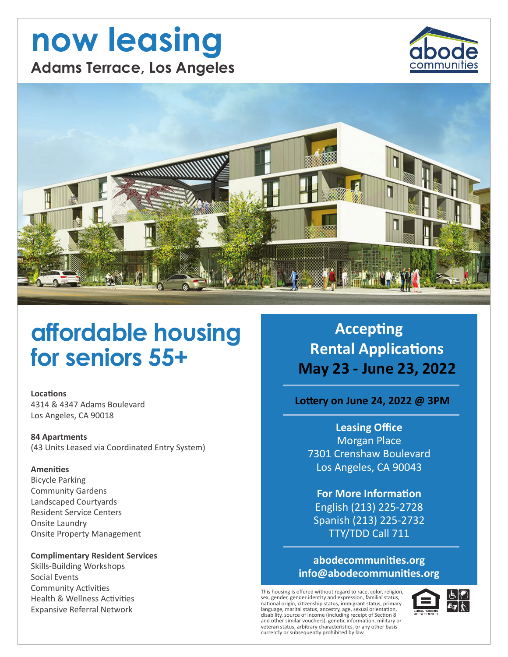# now leasing **Adams Terrace, Los Angeles**





# affordable housing for seniors 55+

**Locations** 4314 & 4347 Adams Boulevard Los Angeles, CA 90018

**84 Apartments** (43 Units Leased via Coordinated Entry System)

#### **Amenities**

**Bicycle Parking Community Gardens** Landscaped Courtyards **Resident Service Centers** Onsite Laundry **Onsite Property Management** 

#### **Complimentary Resident Services**

**Skills-Building Workshops** Social Events **Community Activities Health & Wellness Activities Expansive Referral Network** 

**Accepting Rental Applications** May 23 - June 23, 2022

### Lottery on June 24, 2022 @ 3PM

**Leasing Office Morgan Place** 7301 Crenshaw Boulevard Los Angeles, CA 90043

**For More Information** English (213) 225-2728 Spanish (213) 225-2732 TTY/TDD Call 711

### abodecommunities.org info@abodecommunities.org

This housing is offered without regard to race, color, religion sex, gender, gender identity and expression, familial status, national origin, citizenship status, immigrant status, primary<br>language, marital status, ancestry, age, sexual orientation, alignates, maintain status, antestat, g, age, sextant of Section 8<br>and other similar vouchers), genetic information, military or<br>veteran status, arbitrary characteristics, or any other basis currently or subsequently prohibited by law.